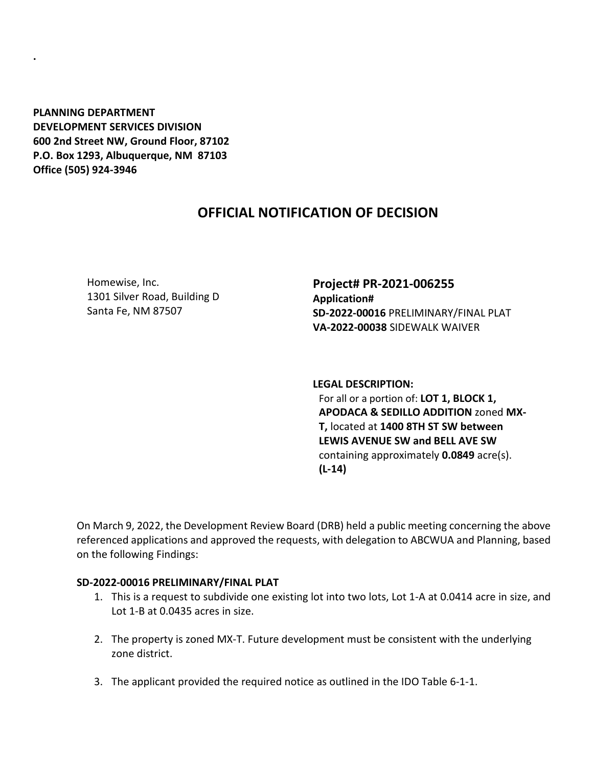**PLANNING DEPARTMENT DEVELOPMENT SERVICES DIVISION 600 2nd Street NW, Ground Floor, 87102 P.O. Box 1293, Albuquerque, NM 87103 Office (505) 924-3946** 

**.**

## **OFFICIAL NOTIFICATION OF DECISION**

Homewise, Inc. 1301 Silver Road, Building D Santa Fe, NM 87507

**Project# PR-2021-006255 Application# SD-2022-00016** PRELIMINARY/FINAL PLAT **VA-2022-00038** SIDEWALK WAIVER

**LEGAL DESCRIPTION:** For all or a portion of: **LOT 1, BLOCK 1, APODACA & SEDILLO ADDITION** zoned **MX-T,** located at **1400 8TH ST SW between LEWIS AVENUE SW and BELL AVE SW**  containing approximately **0.0849** acre(s). **(L-14)**

On March 9, 2022, the Development Review Board (DRB) held a public meeting concerning the above referenced applications and approved the requests, with delegation to ABCWUA and Planning, based on the following Findings:

## **SD-2022-00016 PRELIMINARY/FINAL PLAT**

- 1. This is a request to subdivide one existing lot into two lots, Lot 1-A at 0.0414 acre in size, and Lot 1-B at 0.0435 acres in size.
- 2. The property is zoned MX-T. Future development must be consistent with the underlying zone district.
- 3. The applicant provided the required notice as outlined in the IDO Table 6-1-1.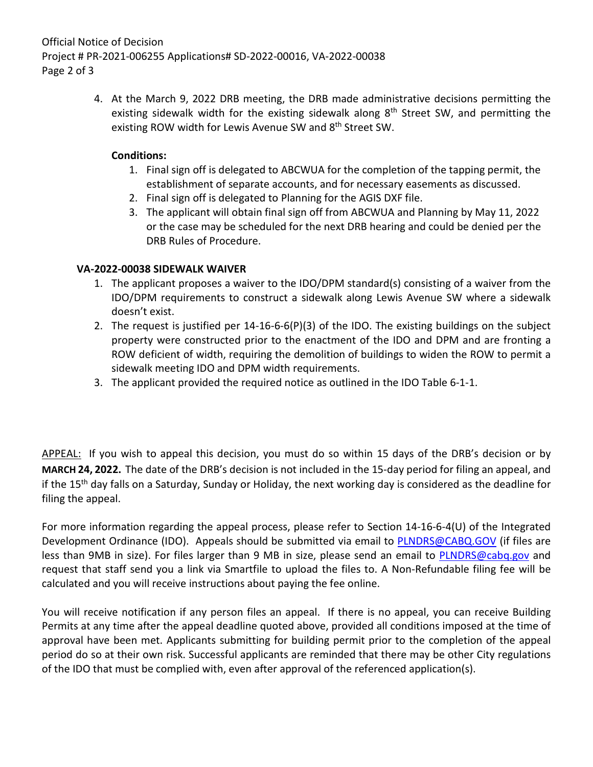Official Notice of Decision Project # PR-2021-006255 Applications# SD-2022-00016, VA-2022-00038 Page 2 of 3

> 4. At the March 9, 2022 DRB meeting, the DRB made administrative decisions permitting the existing sidewalk width for the existing sidewalk along  $8<sup>th</sup>$  Street SW, and permitting the existing ROW width for Lewis Avenue SW and 8<sup>th</sup> Street SW.

## **Conditions:**

- 1. Final sign off is delegated to ABCWUA for the completion of the tapping permit, the establishment of separate accounts, and for necessary easements as discussed.
- 2. Final sign off is delegated to Planning for the AGIS DXF file.
- 3. The applicant will obtain final sign off from ABCWUA and Planning by May 11, 2022 or the case may be scheduled for the next DRB hearing and could be denied per the DRB Rules of Procedure.

## **VA-2022-00038 SIDEWALK WAIVER**

- 1. The applicant proposes a waiver to the IDO/DPM standard(s) consisting of a waiver from the IDO/DPM requirements to construct a sidewalk along Lewis Avenue SW where a sidewalk doesn't exist.
- 2. The request is justified per 14-16-6-6(P)(3) of the IDO. The existing buildings on the subject property were constructed prior to the enactment of the IDO and DPM and are fronting a ROW deficient of width, requiring the demolition of buildings to widen the ROW to permit a sidewalk meeting IDO and DPM width requirements.
- 3. The applicant provided the required notice as outlined in the IDO Table 6-1-1.

APPEAL: If you wish to appeal this decision, you must do so within 15 days of the DRB's decision or by **MARCH 24, 2022.** The date of the DRB's decision is not included in the 15-day period for filing an appeal, and if the 15<sup>th</sup> day falls on a Saturday, Sunday or Holiday, the next working day is considered as the deadline for filing the appeal.

For more information regarding the appeal process, please refer to Section 14-16-6-4(U) of the Integrated Development Ordinance (IDO). Appeals should be submitted via email to [PLNDRS@CABQ.GOV](mailto:PLNDRS@CABQ.GOV) (if files are less than 9MB in size). For files larger than 9 MB in size, please send an email to [PLNDRS@cabq.gov](mailto:PLNDRS@cabq.gov) and request that staff send you a link via Smartfile to upload the files to. A Non-Refundable filing fee will be calculated and you will receive instructions about paying the fee online.

You will receive notification if any person files an appeal. If there is no appeal, you can receive Building Permits at any time after the appeal deadline quoted above, provided all conditions imposed at the time of approval have been met. Applicants submitting for building permit prior to the completion of the appeal period do so at their own risk. Successful applicants are reminded that there may be other City regulations of the IDO that must be complied with, even after approval of the referenced application(s).